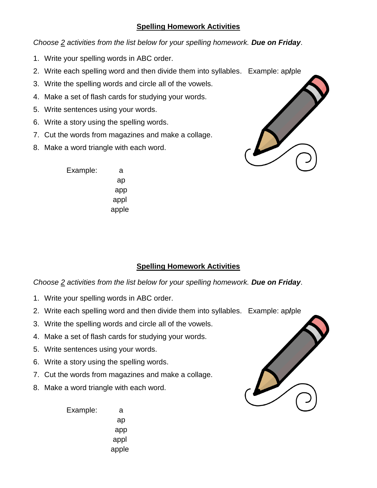## **Spelling Homework Activities**

*Choose 2 activities from the list below for your spelling homework. Due on Friday*.

- 1. Write your spelling words in ABC order.
- 2. Write each spelling word and then divide them into syllables. Example: ap**/**ple
- 3. Write the spelling words and circle all of the vowels.
- 4. Make a set of flash cards for studying your words.
- 5. Write sentences using your words.
- 6. Write a story using the spelling words.
- 7. Cut the words from magazines and make a collage.
- 8. Make a word triangle with each word.



Example: a ap app appl apple

## **Spelling Homework Activities**

*Choose 2 activities from the list below for your spelling homework. Due on Friday*.

- 1. Write your spelling words in ABC order.
- 2. Write each spelling word and then divide them into syllables. Example: ap**/**ple
- 3. Write the spelling words and circle all of the vowels.
- 4. Make a set of flash cards for studying your words.
- 5. Write sentences using your words.
- 6. Write a story using the spelling words.
- 7. Cut the words from magazines and make a collage.
- 8. Make a word triangle with each word.

Example: a ap app appl apple